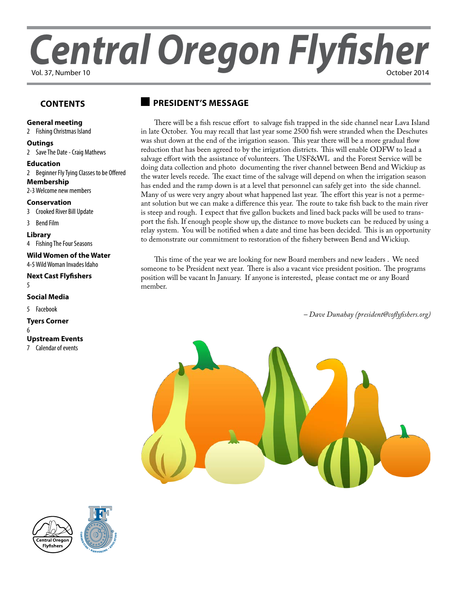# *Central Oregon Flyfisher* Vol. 37, Number 10

## **Contents**

## **G[eneral meeting](#page-1-0)**

[2](#page-1-0) Fishing Christmas Island

**[Outings](#page-1-0)**

2 [Save The Date - Craig Mathews](#page-2-0)

**Education** 2 Beginner Fly Tying Classes to be Offered **Membership** 2-[3Welcome new members](#page-2-0)

**[Conservation](#page-2-0)**

[3](#page-2-0) Crooked River Bill Update

3 Bend Film

**[Library](#page-3-0)**

[4](#page-3-0) Fishing The Four Seasons

**[Wild Women of the Water](#page-4-0)** [4-5Wild Woman Invades Idaho](#page-4-0)

**[Next Cast Flyfishers](#page-4-0)** [5](#page-4-0)

**Social Media**

5 Facebook

**Tyers Corner** 6

**[Upstream Events](#page-3-0)**

7 [Calendar of events](#page-3-0)

# **president's message**

There will be a fish rescue effort to salvage fish trapped in the side channel near Lava Island in late October. You may recall that last year some 2500 fish were stranded when the Deschutes was shut down at the end of the irrigation season. This year there will be a more gradual flow reduction that has been agreed to by the irrigation districts. This will enable ODFW to lead a salvage effort with the assistance of volunteers. The USF&WL and the Forest Service will be doing data collection and photo documenting the river channel between Bend and Wickiup as the water levels recede. The exact time of the salvage will depend on when the irrigation season has ended and the ramp down is at a level that personnel can safely get into the side channel. Many of us were very angry about what happened last year. The effort this year is not a permeant solution but we can make a difference this year. The route to take fish back to the main river is steep and rough. I expect that five gallon buckets and lined back packs will be used to transport the fish. If enough people show up, the distance to move buckets can be reduced by using a relay system. You will be notified when a date and time has been decided. This is an opportunity to demonstrate our commitment to restoration of the fishery between Bend and Wickiup.

This time of the year we are looking for new Board members and new leaders . We need someone to be President next year. There is also a vacant vice president position. The programs position will be vacant ln January. If anyone is interested, please contact me or any Board member.

*– Dave Dunahay [\(president@coflyfishers.org\)](mailto:president@coflyfishers.org)*





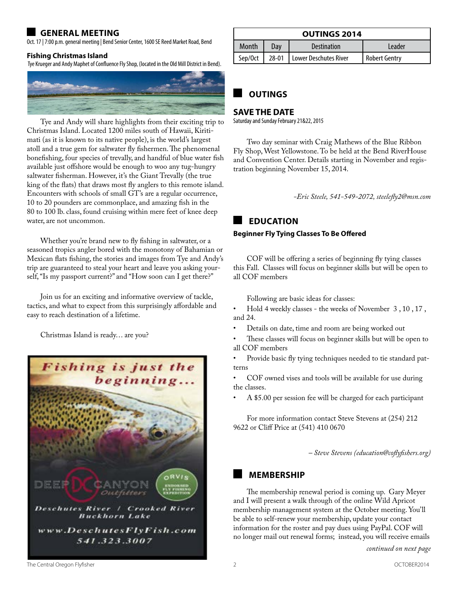# <span id="page-1-0"></span>**general meeting**

Oct. 17 | 7:00 p.m. general meeting | Bend Senior Center, 1600 SE Reed Market Road, Bend

#### **Fishing Christmas Island**

Tye Krueger and Andy Maphet of Confluence Fly Shop, (located in the Old Mill District in Bend).



Tye and Andy will share highlights from their exciting trip to Christmas Island. Located 1200 miles south of Hawaii, Kiritimati (as it is known to its native people), is the world's largest atoll and a true gem for saltwater fly fishermen. The phenomenal bonefishing, four species of trevally, and handful of blue water fish available just offshore would be enough to woo any tug-hungry saltwater fisherman. However, it's the Giant Trevally (the true king of the flats) that draws most fly anglers to this remote island. Encounters with schools of small GT's are a regular occurrence, 10 to 20 pounders are commonplace, and amazing fish in the 80 to 100 lb. class, found cruising within mere feet of knee deep water, are not uncommon.

Whether you're brand new to fly fishing in saltwater, or a seasoned tropics angler bored with the monotony of Bahamian or Mexican flats fishing, the stories and images from Tye and Andy's trip are guaranteed to steal your heart and leave you asking yourself, "Is my passport current?" and "How soon can I get there?"

Join us for an exciting and informative overview of tackle, tactics, and what to expect from this surprisingly affordable and easy to reach destination of a lifetime.

Christmas Island is ready… are you?



| <b>OUTINGS 2014</b> |     |                               |               |  |  |
|---------------------|-----|-------------------------------|---------------|--|--|
| Month               | Dav | Destination                   | I eader       |  |  |
| Sep/Oct             |     | 28-01   Lower Deschutes River | Robert Gentry |  |  |

# **outings**

## **SAVE THE DATE**

Saturday and Sunday February 21&22, 2015

Two day seminar with Craig Mathews of the Blue Ribbon Fly Shop, West Yellowstone. To be held at the Bend RiverHouse and Convention Center. Details starting in November and registration beginning November 15, 2014.

*-Eric Steele, 541-549-2072, [steelefly2@msn.com](mailto:steelefly2@msn.com)*

# **education**

### **Beginner Fly Tying Classes To Be Offered**

COF will be offering a series of beginning fly tying classes this Fall. Classes will focus on beginner skills but will be open to all COF members

Following are basic ideas for classes:

Hold 4 weekly classes - the weeks of November 3, 10, 17, and 24.

- Details on date, time and room are being worked out
- These classes will focus on beginner skills but will be open to all COF members

Provide basic fly tying techniques needed to tie standard patterns

COF owned vises and tools will be available for use during the classes.

A \$5.00 per session fee will be charged for each participant

For more information contact Steve Stevens at (254) 212 9622 or Cliff Price at (541) 410 0670

*– Steve Stevens [\(education@coflyfishers.org\)](mailto:education@coflyfishers.org)*

## **membership**

The membership renewal period is coming up. Gary Meyer and I will present a walk through of the online Wild Apricot membership management system at the October meeting. You'll be able to self-renew your membership, update your contact information for the roster and pay dues using PayPal. COF will no longer mail out renewal forms; instead, you will receive emails

The Central Oregon Flyfisher 2 OCTOBER2014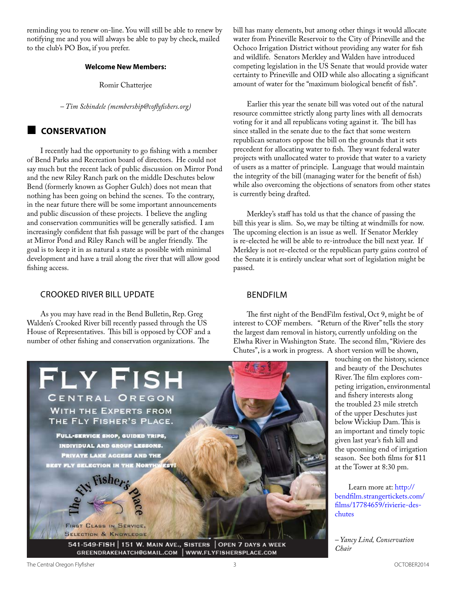<span id="page-2-0"></span>reminding you to renew on-line. You will still be able to renew by notifying me and you will always be able to pay by check, mailed to the club's PO Box, if you prefer.

#### **Welcome New Members:**

Romir Chatterjee

*– Tim Schindele [\(membership@coflyfishers.org](mailto:membership@coflyfishers.org))* 

# **Conservation**

I recently had the opportunity to go fishing with a member of Bend Parks and Recreation board of directors. He could not say much but the recent lack of public discussion on Mirror Pond and the new Riley Ranch park on the middle Deschutes below Bend (formerly known as Gopher Gulch) does not mean that nothing has been going on behind the scenes. To the contrary, in the near future there will be some important announcements and public discussion of these projects. I believe the angling and conservation communities will be generally satisfied. I am increasingly confident that fish passage will be part of the changes at Mirror Pond and Riley Ranch will be angler friendly. The goal is to keep it in as natural a state as possible with minimal development and have a trail along the river that will allow good fishing access.

## Crooked River bill update

As you may have read in the Bend Bulletin, Rep. Greg Walden's Crooked River bill recently passed through the US House of Representatives. This bill is opposed by COF and a number of other fishing and conservation organizations. The

bill has many elements, but among other things it would allocate water from Prineville Reservoir to the City of Prineville and the Ochoco Irrigation District without providing any water for fish and wildlife. Senators Merkley and Walden have introduced competing legislation in the US Senate that would provide water certainty to Prineville and OID while also allocating a significant amount of water for the "maximum biological benefit of fish".

Earlier this year the senate bill was voted out of the natural resource committee strictly along party lines with all democrats voting for it and all republicans voting against it. The bill has since stalled in the senate due to the fact that some western republican senators oppose the bill on the grounds that it sets precedent for allocating water to fish. They want federal water projects with unallocated water to provide that water to a variety of users as a matter of principle. Language that would maintain the integrity of the bill (managing water for the benefit of fish) while also overcoming the objections of senators from other states is currently being drafted.

Merkley's staff has told us that the chance of passing the bill this year is slim. So, we may be tilting at windmills for now. The upcoming election is an issue as well. If Senator Merkley is re-elected he will be able to re-introduce the bill next year. If Merkley is not re-elected or the republican party gains control of the Senate it is entirely unclear what sort of legislation might be passed.

## BendFilm

The first night of the BendFilm festival, Oct 9, might be of interest to COF members. "Return of the River" tells the story the largest dam removal in history, currently unfolding on the Elwha River in Washington State. The second film, "Riviere des Chutes", is a work in progress. A short version will be shown,

> touching on the history, science and beauty of the Deschutes River. The film explores competing irrigation, environmental and fishery interests along the troubled 23 mile stretch of the upper Deschutes just below Wickiup Dam. This is an important and timely topic given last year's fish kill and the upcoming end of irrigation season. See both films for \$11 at the Tower at 8:30 pm.

Learn more at: [http://](http://bendfilm.strangertickets.com/films/17784659/rivierie-des-chute) [bendfilm.strangertickets.com/](http://bendfilm.strangertickets.com/films/17784659/rivierie-des-chute) [films/17784659/rivierie-des](http://bendfilm.strangertickets.com/films/17784659/rivierie-des-chute)[chutes](http://bendfilm.strangertickets.com/films/17784659/rivierie-des-chute)

*– Yancy Lind, Conservation Chair*

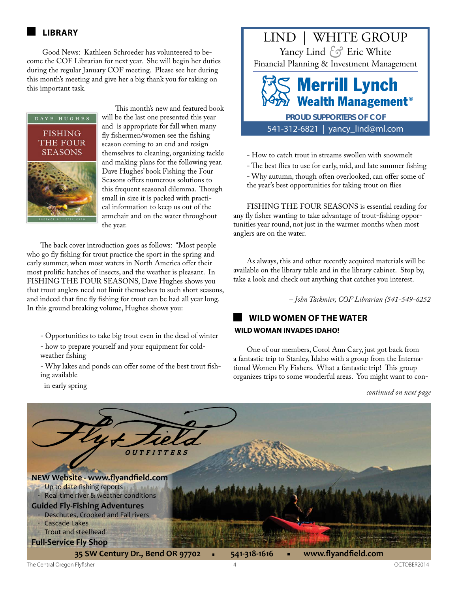<span id="page-3-0"></span> Good News: Kathleen Schroeder has volunteered to become the COF Librarian for next year. She will begin her duties during the regular January COF meeting. Please see her during this month's meeting and give her a big thank you for taking on this important task.



This month's new and featured book will be the last one presented this year and is appropriate for fall when many fly fishermen/women see the fishing season coming to an end and resign themselves to cleaning, organizing tackle and making plans for the following year. Dave Hughes' book Fishing the Four Seasons offers numerous solutions to this frequent seasonal dilemma. Though small in size it is packed with practical information to keep us out of the armchair and on the water throughout the year.

The back cover introduction goes as follows: "Most people who go fly fishing for trout practice the sport in the spring and early summer, when most waters in North America offer their most prolific hatches of insects, and the weather is pleasant. In FISHING THE FOUR SEASONS, Dave Hughes shows you that trout anglers need not limit themselves to such short seasons, and indeed that fine fly fishing for trout can be had all year long. In this ground breaking volume, Hughes shows you:

- Opportunities to take big trout even in the dead of winter - how to prepare yourself and your equipment for coldweather fishing

- Why lakes and ponds can offer some of the best trout fishing available

in early spring



541-312-6821 | yancy\_lind@ml.com

- How to catch trout in streams swollen with snowmelt
- The best flies to use for early, mid, and late summer fishing

- Why autumn, though often overlooked, can offer some of the year's best opportunities for taking trout on flies

FISHING THE FOUR SEASONS is essential reading for any fly fisher wanting to take advantage of trout-fishing opportunities year round, not just in the warmer months when most anglers are on the water.

As always, this and other recently acquired materials will be available on the library table and in the library cabinet. Stop by, take a look and check out anything that catches you interest.

*– John Tackmier, COF Librarian (541-549-6252*

# **wild women of the water WILD WOMAN INVADES IDAHO!**

One of our members, Corol Ann Cary, just got back from a fantastic trip to Stanley, Idaho with a group from the International Women Fly Fishers. What a fantastic trip! This group organizes trips to some wonderful areas. You might want to con-

*continued on next page*

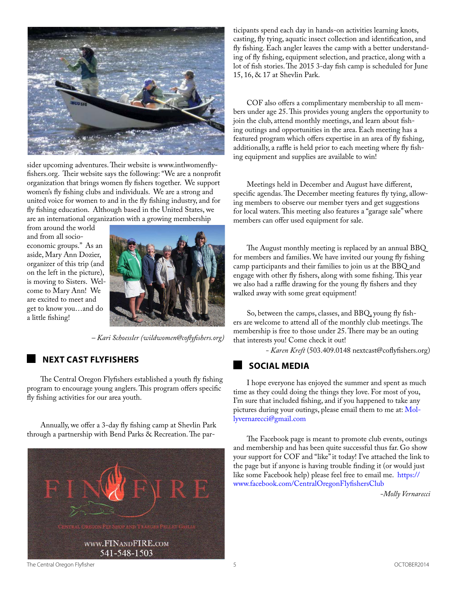<span id="page-4-0"></span>

sider upcoming adventures. Their website is [www.intlwomenfly](www.intlwomenflyfishers.org)[fishers.org](www.intlwomenflyfishers.org). Their website says the following: "We are a nonprofit organization that brings women fly fishers together. We support women's fly fishing clubs and individuals. We are a strong and united voice for women to and in the fly fishing industry, and for fly fishing education. Although based in the United States, we are an international organization with a growing membership

from around the world and from all socioeconomic groups." As an aside, Mary Ann Dozier, organizer of this trip (and on the left in the picture), is moving to Sisters. Welcome to Mary Ann! We are excited to meet and get to know you…and do a little fishing!



*– Kari Schoessler [\(wildwomen@coflyfishers.org\)](mailto:wildwomen@coflyfishers.org)*

# **next cast flyfishers**

The Central Oregon Flyfishers established a youth fly fishing program to encourage young anglers. This program offers specific fly fishing activities for our area youth.

Annually, we offer a 3-day fly fishing camp at Shevlin Park through a partnership with Bend Parks & Recreation. The par-



ticipants spend each day in hands-on activities learning knots, casting, fly tying, aquatic insect collection and identification, and fly fishing. Each angler leaves the camp with a better understanding of fly fishing, equipment selection, and practice, along with a lot of fish stories.The 2015 3-day fish camp is scheduled for June 15, 16, & 17 at Shevlin Park.

COF also offers a complimentary membership to all members under age 25. This provides young anglers the opportunity to join the club, attend monthly meetings, and learn about fishing outings and opportunities in the area. Each meeting has a featured program which offers expertise in an area of fly fishing, additionally, a raffle is held prior to each meeting where fly fishing equipment and supplies are available to win!

Meetings held in December and August have different, specific agendas. The December meeting features fly tying, allowing members to observe our member tyers and get suggestions for local waters. This meeting also features a "garage sale" where members can offer used equipment for sale.

The August monthly meeting is replaced by an annual BBQ for members and families. We have invited our young fly fishing camp participants and their families to join us at the BBQ and engage with other fly fishers, along with some fishing. This year we also had a raffle drawing for the young fly fishers and they walked away with some great equipment!

So, between the camps, classes, and BBQ, young fly fishers are welcome to attend all of the monthly club meetings. The membership is free to those under 25. There may be an outing that interests you! Come check it out!

*- Karen Kreft* (503.409.0148 nextcast@coflyfishers.org)

# **Social Media**

I hope everyone has enjoyed the summer and spent as much time as they could doing the things they love. For most of you, I'm sure that included fishing, and if you happened to take any pictures during your outings, please email them to me at: [Mol](mailto:Mollyvernarecci@gmail.com)[lyvernarecci@gmail.com](mailto:Mollyvernarecci@gmail.com)

The Facebook page is meant to promote club events, outings and membership and has been quite successful thus far. Go show your support for COF and "like" it today! I've attached the link to the page but if anyone is having trouble finding it (or would just like some Facebook help) please feel free to email me. [https://](https://www.facebook.com/CentralOregonFlyfishersClub) [www.facebook.com/CentralOregonFlyfishersClub](https://www.facebook.com/CentralOregonFlyfishersClub) 

*-Molly Vernarecci*

The Central Oregon Flyfisher 6 OCTOBER2014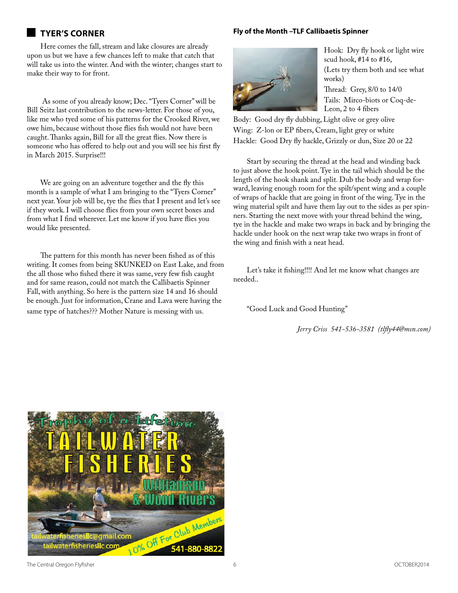# **tyer's corner**

Here comes the fall, stream and lake closures are already upon us but we have a few chances left to make that catch that will take us into the winter. And with the winter; changes start to make their way to for front.

 As some of you already know; Dec. "Tyers Corner" will be Bill Seitz last contribution to the news-letter. For those of you, like me who tyed some of his patterns for the Crooked River, we owe him, because without those flies fish would not have been caught. Thanks again, Bill for all the great flies. Now there is someone who has offered to help out and you will see his first fly in March 2015. Surprise!!!

We are going on an adventure together and the fly this month is a sample of what I am bringing to the "Tyers Corner" next year. Your job will be, tye the flies that I present and let's see if they work. I will choose flies from your own secret boxes and from what I find wherever. Let me know if you have flies you would like presented.

The pattern for this month has never been fished as of this writing. It comes from being SKUNKED on East Lake, and from the all those who fished there it was same, very few fish caught and for same reason, could not match the Callibaetis Spinner Fall, with anything. So here is the pattern size 14 and 16 should be enough. Just for information, Crane and Lava were having the same type of hatches??? Mother Nature is messing with us.

## **Fly of the Month –TLF Callibaetis Spinner**



Hook: Dry fly hook or light wire scud hook, #14 to #16, (Lets try them both and see what works)

Thread: Grey, 8/0 to 14/0 Tails: Mirco-biots or Coq-de-Leon, 2 to 4 fibers

Body: Good dry fly dubbing, Light olive or grey olive Wing: Z-lon or EP fibers, Cream, light grey or white Hackle: Good Dry fly hackle, Grizzly or dun, Size 20 or 22

Start by securing the thread at the head and winding back to just above the hook point. Tye in the tail which should be the length of the hook shank and split. Dub the body and wrap forward, leaving enough room for the spilt/spent wing and a couple of wraps of hackle that are going in front of the wing. Tye in the wing material spilt and have them lay out to the sides as per spinners. Starting the next move with your thread behind the wing, tye in the hackle and make two wraps in back and by bringing the hackle under hook on the next wrap take two wraps in front of the wing and finish with a neat head.

Let's take it fishing!!!! And let me know what changes are needed..

"Good Luck and Good Hunting"

*Jerry Criss 541-536-3581 [\(tlfly44@msn.com\)](mailto:tlfly44@msn.com)*